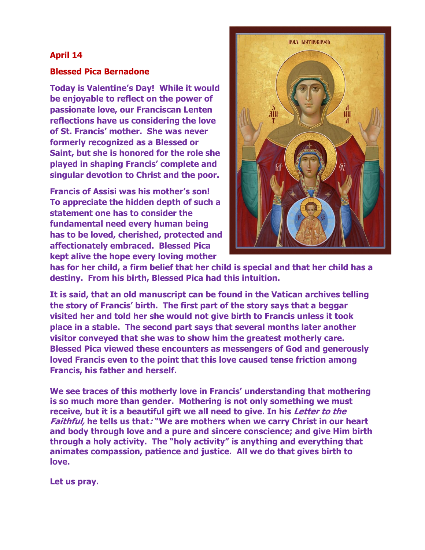## **April 14**

## **Blessed Pica Bernadone**

**Today is Valentine's Day! While it would be enjoyable to reflect on the power of passionate love, our Franciscan Lenten reflections have us considering the love of St. Francis' mother. She was never formerly recognized as a Blessed or Saint, but she is honored for the role she played in shaping Francis' complete and singular devotion to Christ and the poor.**

**Francis of Assisi was his mother's son! To appreciate the hidden depth of such a statement one has to consider the fundamental need every human being has to be loved, cherished, protected and affectionately embraced. Blessed Pica kept alive the hope every loving mother** 



**has for her child, a firm belief that her child is special and that her child has a destiny. From his birth, Blessed Pica had this intuition.** 

**It is said, that an old manuscript can be found in the Vatican archives telling the story of Francis' birth. The first part of the story says that a beggar visited her and told her she would not give birth to Francis unless it took place in a stable. The second part says that several months later another visitor conveyed that she was to show him the greatest motherly care. Blessed Pica viewed these encounters as messengers of God and generously loved Francis even to the point that this love caused tense friction among Francis, his father and herself.** 

**We see traces of this motherly love in Francis' understanding that mothering is so much more than gender. Mothering is not only something we must receive, but it is a beautiful gift we all need to give. In his Letter to the Faithful, he tells us that: "We are mothers when we carry Christ in our heart and body through love and a pure and sincere conscience; and give Him birth through a holy activity. The "holy activity" is anything and everything that animates compassion, patience and justice. All we do that gives birth to love.** 

**Let us pray.**